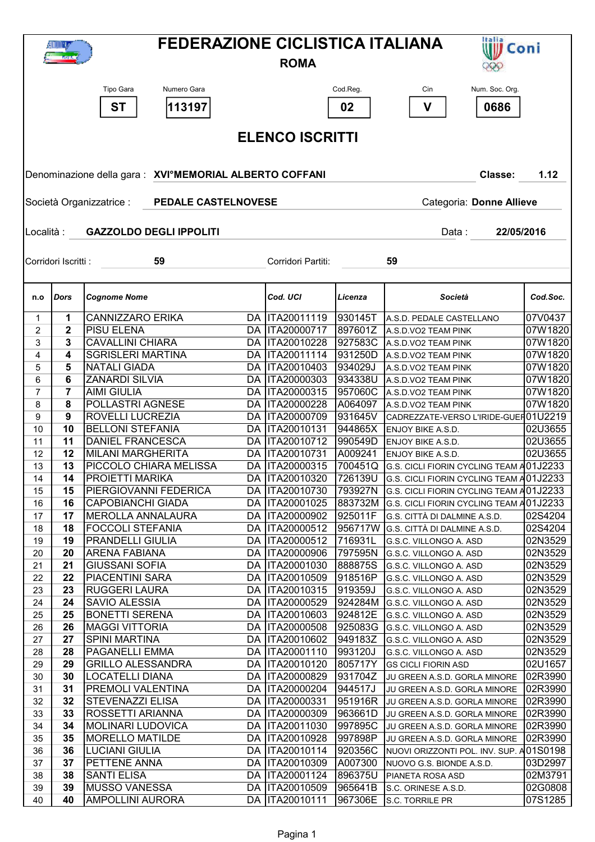| <b>FEDERAZIONE CICLISTICA ITALIANA</b><br>Italia<br><b>W</b> Coni<br>1699.8<br><b>ROMA</b> |                                                                             |                                                        |    |                                    |                    |                                                                                    |                    |  |  |  |  |
|--------------------------------------------------------------------------------------------|-----------------------------------------------------------------------------|--------------------------------------------------------|----|------------------------------------|--------------------|------------------------------------------------------------------------------------|--------------------|--|--|--|--|
|                                                                                            |                                                                             | Numero Gara<br>Tipo Gara                               |    |                                    | Cod.Reg.           | Num. Soc. Org.<br>Cin                                                              |                    |  |  |  |  |
|                                                                                            |                                                                             | 113197<br><b>ST</b>                                    |    |                                    | 02                 | 0686<br>V                                                                          |                    |  |  |  |  |
|                                                                                            |                                                                             |                                                        |    | <b>ELENCO ISCRITTI</b>             |                    |                                                                                    |                    |  |  |  |  |
|                                                                                            |                                                                             | Denominazione della gara: XVI°MEMORIAL ALBERTO COFFANI |    |                                    |                    | Classe:                                                                            | 1.12               |  |  |  |  |
|                                                                                            | PEDALE CASTELNOVESE<br>Categoria: Donne Allieve<br>Società Organizzatrice : |                                                        |    |                                    |                    |                                                                                    |                    |  |  |  |  |
| Località :                                                                                 |                                                                             | <b>GAZZOLDO DEGLI IPPOLITI</b>                         |    |                                    |                    | Data:<br>22/05/2016                                                                |                    |  |  |  |  |
|                                                                                            |                                                                             |                                                        |    |                                    |                    |                                                                                    |                    |  |  |  |  |
|                                                                                            | Corridori Iscritti :                                                        | 59                                                     |    | Corridori Partiti:                 |                    | 59                                                                                 |                    |  |  |  |  |
| n.o                                                                                        | <b>Dors</b>                                                                 | <b>Cognome Nome</b>                                    |    | Cod. UCI                           | Licenza            | Società                                                                            | Cod.Soc.           |  |  |  |  |
| 1                                                                                          | 1                                                                           | <b>CANNIZZARO ERIKA</b>                                |    | DA  ITA20011119                    | 930145T            | A.S.D. PEDALE CASTELLANO                                                           | 07V0437            |  |  |  |  |
| 2                                                                                          | 2                                                                           | PISU ELENA                                             |    | DA  ITA20000717                    | 897601Z            | A.S.D.VO2 TEAM PINK                                                                | 07W1820            |  |  |  |  |
| 3<br>4                                                                                     | 3<br>4                                                                      | <b>CAVALLINI CHIARA</b><br><b>SGRISLERI MARTINA</b>    |    | DA  ITA20010228<br>DA  ITA20011114 | 927583C<br>931250D | A.S.D.VO2 TEAM PINK                                                                | 07W1820<br>07W1820 |  |  |  |  |
| 5                                                                                          | 5                                                                           | <b>NATALI GIADA</b>                                    |    | DA  ITA20010403                    | 934029J            | A.S.D.VO2 TEAM PINK<br>A.S.D.VO2 TEAM PINK                                         | 07W1820            |  |  |  |  |
| 6                                                                                          | 6                                                                           | ZANARDI SILVIA                                         |    | DA  ITA20000303                    | 934338U            | A.S.D.VO2 TEAM PINK                                                                | 07W1820            |  |  |  |  |
| $\overline{7}$                                                                             | 7                                                                           | <b>AIMI GIULIA</b>                                     | DA | ITA20000315                        | 957060C            | A.S.D.VO2 TEAM PINK                                                                | 07W1820            |  |  |  |  |
| 8                                                                                          | 8                                                                           | POLLASTRI AGNESE                                       |    | DA  ITA20000228                    | A064097            | A.S.D.VO2 TEAM PINK                                                                | 07W1820            |  |  |  |  |
| 9                                                                                          | 9                                                                           | ROVELLI LUCREZIA                                       |    | DA  ITA20000709                    | 931645V            | CADREZZATE-VERSO L'IRIDE-GUER01U2219                                               |                    |  |  |  |  |
| 10                                                                                         | 10                                                                          | <b>BELLONI STEFANIA</b>                                |    | DA  ITA20010131                    | 944865X            | ENJOY BIKE A.S.D.                                                                  | 02U3655            |  |  |  |  |
| 11                                                                                         | 11                                                                          | <b>DANIEL FRANCESCA</b>                                |    | DA  ITA20010712                    | 990549D            | ENJOY BIKE A.S.D.                                                                  | 02U3655            |  |  |  |  |
| 12                                                                                         | 12                                                                          | <b>MILANI MARGHERITA</b>                               |    | DA  ITA20010731                    | A009241            | ENJOY BIKE A.S.D.                                                                  | 02U3655            |  |  |  |  |
| 13                                                                                         | 13<br>14                                                                    | PICCOLO CHIARA MELISSA<br>PROIETTI MARIKA              |    | DA  ITA20000315<br>DA  ITA20010320 | 700451Q            | G.S. CICLI FIORIN CYCLING TEAM A01J2233                                            |                    |  |  |  |  |
| 14<br>15                                                                                   | 15                                                                          | PIERGIOVANNI FEDERICA                                  |    | DA   ITA20010730                   | 726139U<br>793927N | G.S. CICLI FIORIN CYCLING TEAM A01J2233<br>G.S. CICLI FIORIN CYCLING TEAM A01J2233 |                    |  |  |  |  |
| 16                                                                                         | 16                                                                          | <b>CAPOBIANCHI GIADA</b>                               |    | DA  ITA20001025                    | 883732M            | G.S. CICLI FIORIN CYCLING TEAM A01J2233                                            |                    |  |  |  |  |
| 17                                                                                         | 17                                                                          | MEROLLA ANNALAURA                                      |    | DA ITA20000902                     | 925011F            | G.S. CITTÀ DI DALMINE A.S.D.                                                       | 02S4204            |  |  |  |  |
| 18                                                                                         | 18                                                                          | <b>FOCCOLI STEFANIA</b>                                |    | DA   ITA20000512                   | 956717W            | G.S. CITTÀ DI DALMINE A.S.D.                                                       | 02S4204            |  |  |  |  |
| 19                                                                                         | 19                                                                          | PRANDELLI GIULIA                                       |    | DA  ITA20000512                    | 716931L            | G.S.C. VILLONGO A. ASD                                                             | 02N3529            |  |  |  |  |
| 20                                                                                         | 20                                                                          | <b>ARENA FABIANA</b>                                   |    | DA  ITA20000906                    | 797595N            | G.S.C. VILLONGO A. ASD                                                             | 02N3529            |  |  |  |  |
| 21                                                                                         | 21                                                                          | <b>GIUSSANI SOFIA</b>                                  |    | DA  ITA20001030                    | 888875S            | G.S.C. VILLONGO A. ASD                                                             | 02N3529            |  |  |  |  |
| 22                                                                                         | 22                                                                          | PIACENTINI SARA                                        |    | DA  ITA20010509                    | 918516P            | G.S.C. VILLONGO A. ASD                                                             | 02N3529            |  |  |  |  |
| 23                                                                                         | 23<br>24                                                                    | <b>RUGGERI LAURA</b><br>SAVIO ALESSIA                  |    | DA  ITA20010315<br>DA  ITA20000529 | 919359J<br>924284M | G.S.C. VILLONGO A. ASD                                                             | 02N3529<br>02N3529 |  |  |  |  |
| 24<br>25                                                                                   | 25                                                                          | <b>BONETTI SERENA</b>                                  |    | DA  ITA20010603                    | 924812E            | G.S.C. VILLONGO A. ASD<br>G.S.C. VILLONGO A. ASD                                   | 02N3529            |  |  |  |  |
| 26                                                                                         | 26                                                                          | <b>MAGGI VITTORIA</b>                                  |    | DA  ITA20000508                    | 925083G            | G.S.C. VILLONGO A. ASD                                                             | 02N3529            |  |  |  |  |
| 27                                                                                         | 27                                                                          | <b>SPINI MARTINA</b>                                   |    | DA   ITA20010602                   | 949183Z            | G.S.C. VILLONGO A. ASD                                                             | 02N3529            |  |  |  |  |
| 28                                                                                         | 28                                                                          | PAGANELLI EMMA                                         |    | DA  ITA20001110                    | 993120J            | G.S.C. VILLONGO A. ASD                                                             | 02N3529            |  |  |  |  |
| 29                                                                                         | 29                                                                          | <b>GRILLO ALESSANDRA</b>                               |    | DA  ITA20010120                    | 805717Y            | <b>GS CICLI FIORIN ASD</b>                                                         | 02U1657            |  |  |  |  |
| 30                                                                                         | 30                                                                          | <b>LOCATELLI DIANA</b>                                 |    | DA   ITA20000829                   | 931704Z            | JU GREEN A.S.D. GORLA MINORE                                                       | 02R3990            |  |  |  |  |
| 31                                                                                         | 31                                                                          | PREMOLI VALENTINA                                      |    | DA  ITA20000204                    | 944517J            | JU GREEN A.S.D. GORLA MINORE                                                       | 02R3990            |  |  |  |  |
| 32                                                                                         | 32                                                                          | STEVENAZZI ELISA                                       |    | DA  ITA20000331                    | 951916R            | JU GREEN A.S.D. GORLA MINORE                                                       | 02R3990            |  |  |  |  |
| 33                                                                                         | 33                                                                          | ROSSETTI ARIANNA                                       |    | DA  ITA20000309                    | 963661D            | JU GREEN A.S.D. GORLA MINORE                                                       | 02R3990            |  |  |  |  |
| 34<br>35                                                                                   | 34<br>35                                                                    | <b>MOLINARI LUDOVICA</b><br><b>MORELLO MATILDE</b>     |    | DA  ITA20011030<br>DA  ITA20010928 | 997895C<br>997898P | JU GREEN A.S.D. GORLA MINORE<br>JU GREEN A.S.D. GORLA MINORE                       | 02R3990<br>02R3990 |  |  |  |  |
| 36                                                                                         | 36                                                                          | <b>LUCIANI GIULIA</b>                                  |    | DA   ITA20010114                   | 920356C            | NUOVI ORIZZONTI POL. INV. SUP. A01S0198                                            |                    |  |  |  |  |
| 37                                                                                         | 37                                                                          | PETTENE ANNA                                           |    | DA   ITA20010309                   | A007300            | NUOVO G.S. BIONDE A.S.D.                                                           | 03D2997            |  |  |  |  |
| 38                                                                                         | 38                                                                          | <b>SANTI ELISA</b>                                     |    | DA  ITA20001124                    | 896375U            | PIANETA ROSA ASD                                                                   | 02M3791            |  |  |  |  |
| 39                                                                                         | 39                                                                          | <b>MUSSO VANESSA</b>                                   |    | DA   ITA20010509                   | 965641B            | S.C. ORINESE A.S.D.                                                                | 02G0808            |  |  |  |  |
|                                                                                            | 40                                                                          | AMPOLLINI AURORA                                       |    | DA  ITA20010111                    | 967306E            | S.C. TORRILE PR                                                                    | 07S1285            |  |  |  |  |